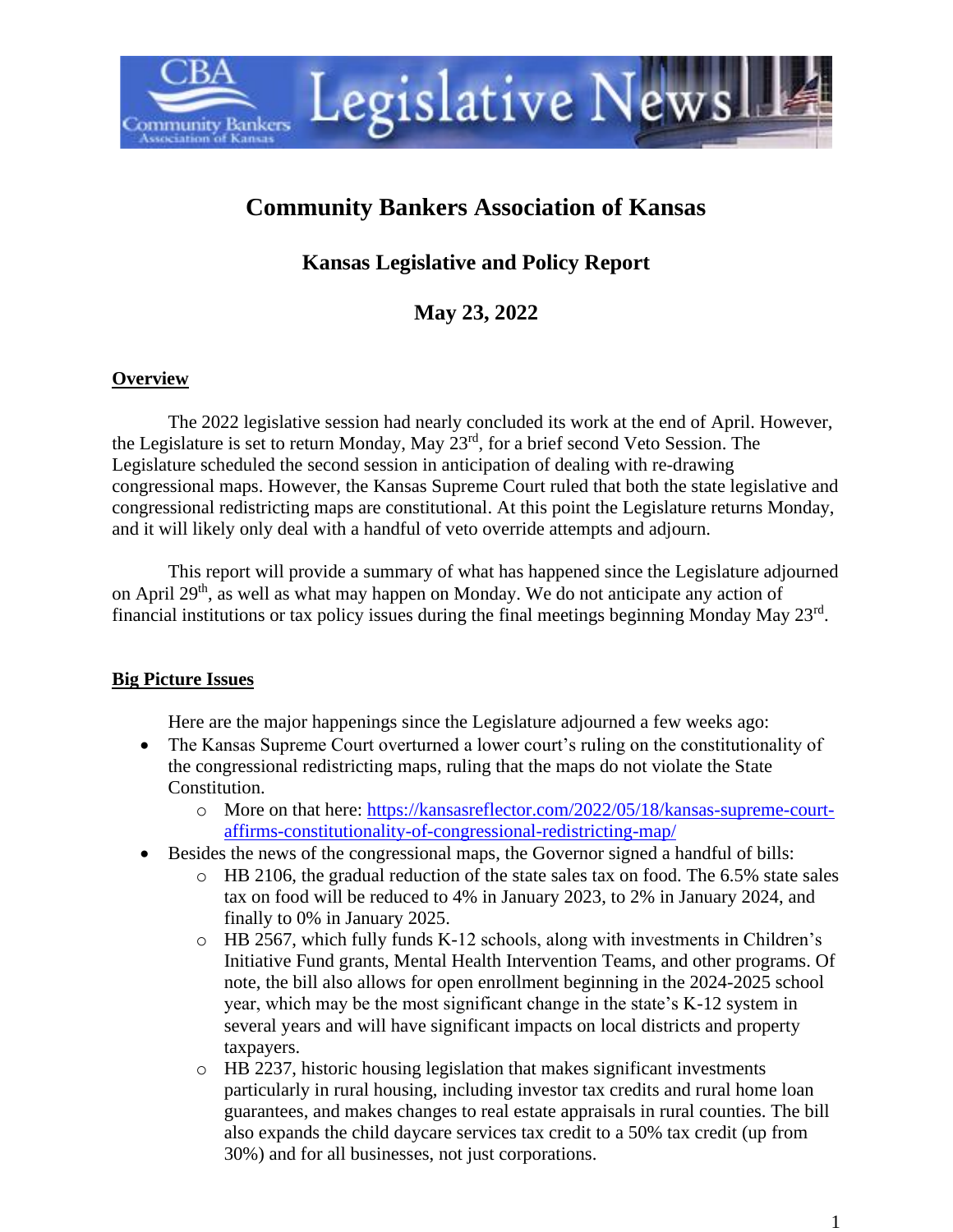

# **Community Bankers Association of Kansas**

# **Kansas Legislative and Policy Report**

**May 23, 2022**

#### **Overview**

The 2022 legislative session had nearly concluded its work at the end of April. However, the Legislature is set to return Monday, May 23rd, for a brief second Veto Session. The Legislature scheduled the second session in anticipation of dealing with re-drawing congressional maps. However, the Kansas Supreme Court ruled that both the state legislative and congressional redistricting maps are constitutional. At this point the Legislature returns Monday, and it will likely only deal with a handful of veto override attempts and adjourn.

This report will provide a summary of what has happened since the Legislature adjourned on April 29th, as well as what may happen on Monday. We do not anticipate any action of financial institutions or tax policy issues during the final meetings beginning Monday May 23rd.

# **Big Picture Issues**

Here are the major happenings since the Legislature adjourned a few weeks ago:

- The Kansas Supreme Court overturned a lower court's ruling on the constitutionality of the congressional redistricting maps, ruling that the maps do not violate the State Constitution.
	- o More on that here: [https://kansasreflector.com/2022/05/18/kansas-supreme-court](https://kansasreflector.com/2022/05/18/kansas-supreme-court-affirms-constitutionality-of-congressional-redistricting-map/)[affirms-constitutionality-of-congressional-redistricting-map/](https://kansasreflector.com/2022/05/18/kansas-supreme-court-affirms-constitutionality-of-congressional-redistricting-map/)
- Besides the news of the congressional maps, the Governor signed a handful of bills:
	- $\circ$  HB 2106, the gradual reduction of the state sales tax on food. The 6.5% state sales tax on food will be reduced to 4% in January 2023, to 2% in January 2024, and finally to 0% in January 2025.
	- o HB 2567, which fully funds K-12 schools, along with investments in Children's Initiative Fund grants, Mental Health Intervention Teams, and other programs. Of note, the bill also allows for open enrollment beginning in the 2024-2025 school year, which may be the most significant change in the state's K-12 system in several years and will have significant impacts on local districts and property taxpayers.
	- o HB 2237, historic housing legislation that makes significant investments particularly in rural housing, including investor tax credits and rural home loan guarantees, and makes changes to real estate appraisals in rural counties. The bill also expands the child daycare services tax credit to a 50% tax credit (up from 30%) and for all businesses, not just corporations.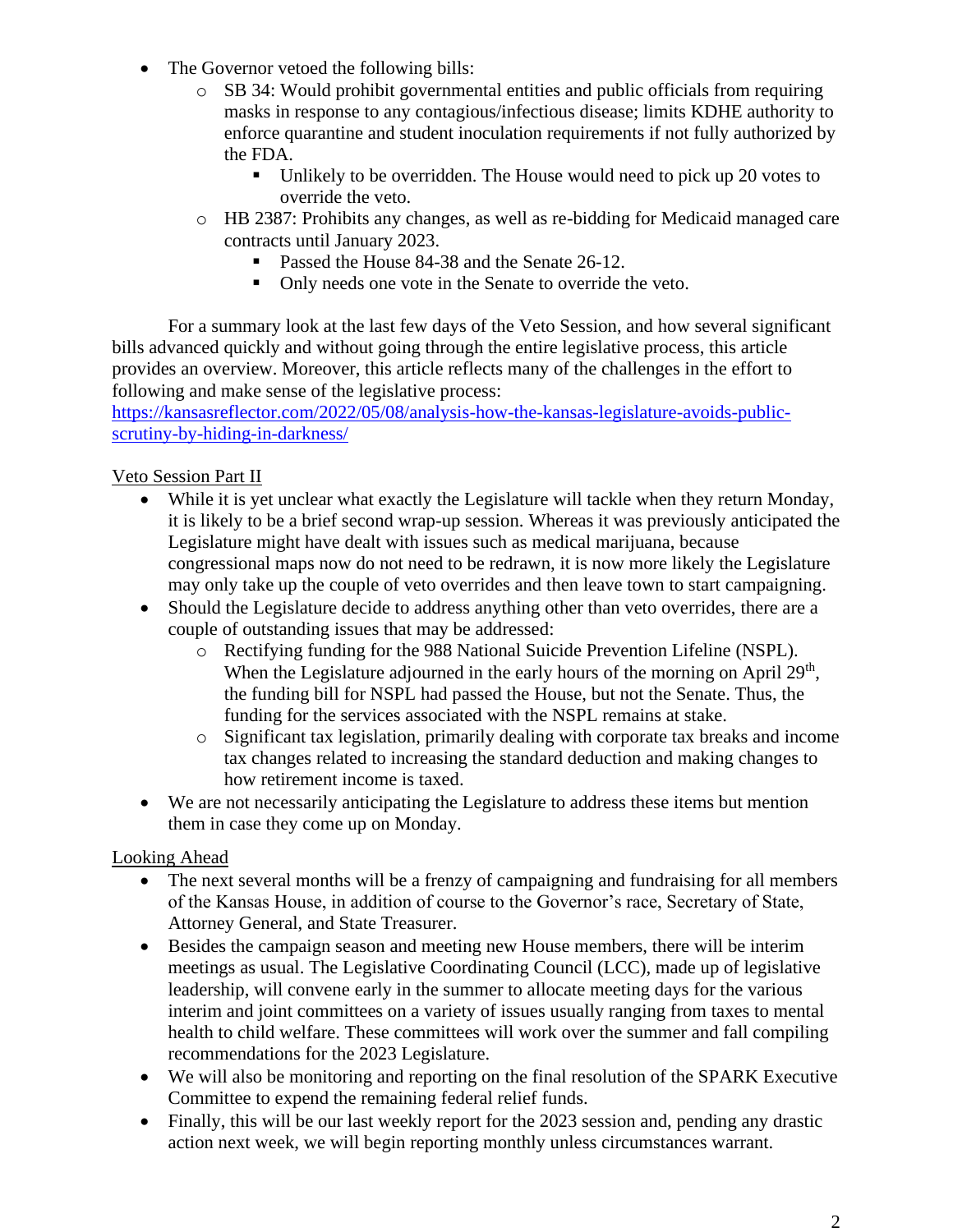- The Governor vetoed the following bills:
	- o SB 34: Would prohibit governmental entities and public officials from requiring masks in response to any contagious/infectious disease; limits KDHE authority to enforce quarantine and student inoculation requirements if not fully authorized by the FDA.
		- Unlikely to be overridden. The House would need to pick up 20 votes to override the veto.
	- o HB 2387: Prohibits any changes, as well as re-bidding for Medicaid managed care contracts until January 2023.
		- Passed the House 84-38 and the Senate 26-12.
		- Only needs one vote in the Senate to override the veto.

For a summary look at the last few days of the Veto Session, and how several significant bills advanced quickly and without going through the entire legislative process, this article provides an overview. Moreover, this article reflects many of the challenges in the effort to following and make sense of the legislative process:

[https://kansasreflector.com/2022/05/08/analysis-how-the-kansas-legislature-avoids-public](https://kansasreflector.com/2022/05/08/analysis-how-the-kansas-legislature-avoids-public-scrutiny-by-hiding-in-darkness/)[scrutiny-by-hiding-in-darkness/](https://kansasreflector.com/2022/05/08/analysis-how-the-kansas-legislature-avoids-public-scrutiny-by-hiding-in-darkness/)

### Veto Session Part II

- While it is yet unclear what exactly the Legislature will tackle when they return Monday, it is likely to be a brief second wrap-up session. Whereas it was previously anticipated the Legislature might have dealt with issues such as medical marijuana, because congressional maps now do not need to be redrawn, it is now more likely the Legislature may only take up the couple of veto overrides and then leave town to start campaigning.
- Should the Legislature decide to address anything other than veto overrides, there are a couple of outstanding issues that may be addressed:
	- o Rectifying funding for the 988 National Suicide Prevention Lifeline (NSPL). When the Legislature adjourned in the early hours of the morning on April 29<sup>th</sup>, the funding bill for NSPL had passed the House, but not the Senate. Thus, the funding for the services associated with the NSPL remains at stake.
	- o Significant tax legislation, primarily dealing with corporate tax breaks and income tax changes related to increasing the standard deduction and making changes to how retirement income is taxed.
- We are not necessarily anticipating the Legislature to address these items but mention them in case they come up on Monday.

# Looking Ahead

- The next several months will be a frenzy of campaigning and fundraising for all members of the Kansas House, in addition of course to the Governor's race, Secretary of State, Attorney General, and State Treasurer.
- Besides the campaign season and meeting new House members, there will be interim meetings as usual. The Legislative Coordinating Council (LCC), made up of legislative leadership, will convene early in the summer to allocate meeting days for the various interim and joint committees on a variety of issues usually ranging from taxes to mental health to child welfare. These committees will work over the summer and fall compiling recommendations for the 2023 Legislature.
- We will also be monitoring and reporting on the final resolution of the SPARK Executive Committee to expend the remaining federal relief funds.
- Finally, this will be our last weekly report for the 2023 session and, pending any drastic action next week, we will begin reporting monthly unless circumstances warrant.